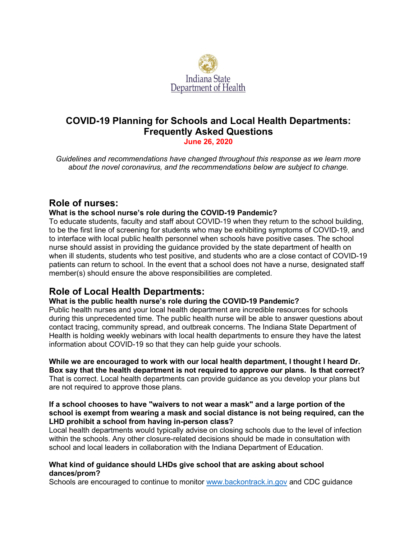

# **COVID-19 Planning for Schools and Local Health Departments: Frequently Asked Questions**

**June 26, 2020**

*Guidelines and recommendations have changed throughout this response as we learn more about the novel coronavirus, and the recommendations below are subject to change.*

# **Role of nurses:**

# **What is the school nurse's role during the COVID-19 Pandemic?**

To educate students, faculty and staff about COVID-19 when they return to the school building, to be the first line of screening for students who may be exhibiting symptoms of COVID-19, and to interface with local public health personnel when schools have positive cases. The school nurse should assist in providing the guidance provided by the state department of health on when ill students, students who test positive, and students who are a close contact of COVID-19 patients can return to school. In the event that a school does not have a nurse, designated staff member(s) should ensure the above responsibilities are completed.

# **Role of Local Health Departments:**

# **What is the public health nurse's role during the COVID-19 Pandemic?**

Public health nurses and your local health department are incredible resources for schools during this unprecedented time. The public health nurse will be able to answer questions about contact tracing, community spread, and outbreak concerns. The Indiana State Department of Health is holding weekly webinars with local health departments to ensure they have the latest information about COVID-19 so that they can help guide your schools.

**While we are encouraged to work with our local health department, I thought I heard Dr. Box say that the health department is not required to approve our plans. Is that correct?** That is correct. Local health departments can provide guidance as you develop your plans but are not required to approve those plans.

### **If a school chooses to have "waivers to not wear a mask" and a large portion of the school is exempt from wearing a mask and social distance is not being required, can the LHD prohibit a school from having in-person class?**

Local health departments would typically advise on closing schools due to the level of infection within the schools. Any other closure-related decisions should be made in consultation with school and local leaders in collaboration with the Indiana Department of Education.

# **What kind of guidance should LHDs give school that are asking about school dances/prom?**

Schools are encouraged to continue to monitor [www.backontrack.in.gov](http://www.backontrack.in.gov/) and CDC guidance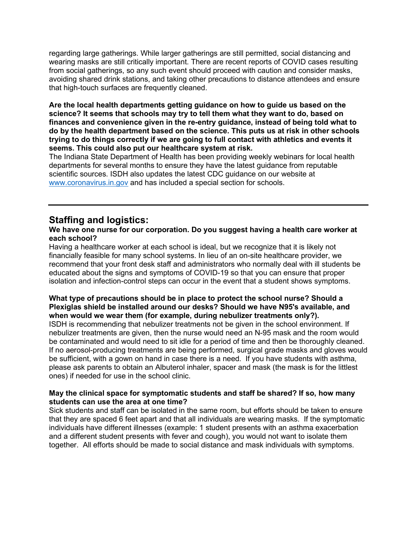regarding large gatherings. While larger gatherings are still permitted, social distancing and wearing masks are still critically important. There are recent reports of COVID cases resulting from social gatherings, so any such event should proceed with caution and consider masks, avoiding shared drink stations, and taking other precautions to distance attendees and ensure that high-touch surfaces are frequently cleaned.

**Are the local health departments getting guidance on how to guide us based on the science? It seems that schools may try to tell them what they want to do, based on finances and convenience given in the re-entry guidance, instead of being told what to do by the health department based on the science. This puts us at risk in other schools trying to do things correctly if we are going to full contact with athletics and events it seems. This could also put our healthcare system at risk.**

The Indiana State Department of Health has been providing weekly webinars for local health departments for several months to ensure they have the latest guidance from reputable scientific sources. ISDH also updates the latest CDC guidance on our website at [www.coronavirus.in.gov](http://www.coronavirus.in.gov/) and has included a special section for schools.

# **Staffing and logistics:**

# **We have one nurse for our corporation. Do you suggest having a health care worker at each school?**

Having a healthcare worker at each school is ideal, but we recognize that it is likely not financially feasible for many school systems. In lieu of an on-site healthcare provider, we recommend that your front desk staff and administrators who normally deal with ill students be educated about the signs and symptoms of COVID-19 so that you can ensure that proper isolation and infection-control steps can occur in the event that a student shows symptoms.

# **What type of precautions should be in place to protect the school nurse? Should a Plexiglas shield be installed around our desks? Should we have N95's available, and when would we wear them (for example, during nebulizer treatments only?).**

ISDH is recommending that nebulizer treatments not be given in the school environment. If nebulizer treatments are given, then the nurse would need an N-95 mask and the room would be contaminated and would need to sit idle for a period of time and then be thoroughly cleaned. If no aerosol-producing treatments are being performed, surgical grade masks and gloves would be sufficient, with a gown on hand in case there is a need. If you have students with asthma, please ask parents to obtain an Albuterol inhaler, spacer and mask (the mask is for the littlest ones) if needed for use in the school clinic.

# **May the clinical space for symptomatic students and staff be shared? If so, how many students can use the area at one time?**

Sick students and staff can be isolated in the same room, but efforts should be taken to ensure that they are spaced 6 feet apart and that all individuals are wearing masks. If the symptomatic individuals have different illnesses (example: 1 student presents with an asthma exacerbation and a different student presents with fever and cough), you would not want to isolate them together. All efforts should be made to social distance and mask individuals with symptoms.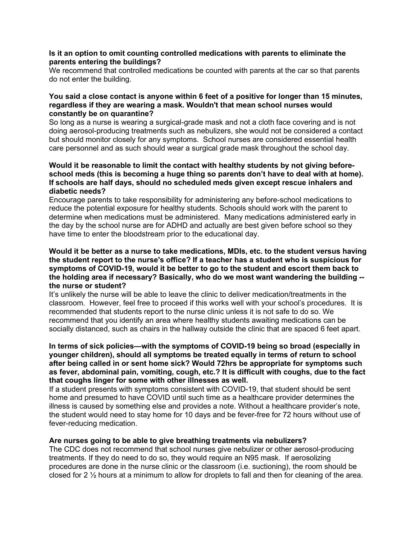### **Is it an option to omit counting controlled medications with parents to eliminate the parents entering the buildings?**

We recommend that controlled medications be counted with parents at the car so that parents do not enter the building.

### **You said a close contact is anyone within 6 feet of a positive for longer than 15 minutes, regardless if they are wearing a mask. Wouldn't that mean school nurses would constantly be on quarantine?**

So long as a nurse is wearing a surgical-grade mask and not a cloth face covering and is not doing aerosol-producing treatments such as nebulizers, she would not be considered a contact but should monitor closely for any symptoms. School nurses are considered essential health care personnel and as such should wear a surgical grade mask throughout the school day.

# **Would it be reasonable to limit the contact with healthy students by not giving beforeschool meds (this is becoming a huge thing so parents don't have to deal with at home). If schools are half days, should no scheduled meds given except rescue inhalers and diabetic needs?**

Encourage parents to take responsibility for administering any before-school medications to reduce the potential exposure for healthy students. Schools should work with the parent to determine when medications must be administered. Many medications administered early in the day by the school nurse are for ADHD and actually are best given before school so they have time to enter the bloodstream prior to the educational day.

### **Would it be better as a nurse to take medications, MDIs, etc. to the student versus having the student report to the nurse's office? If a teacher has a student who is suspicious for symptoms of COVID-19, would it be better to go to the student and escort them back to the holding area if necessary? Basically, who do we most want wandering the building - the nurse or student?**

It's unlikely the nurse will be able to leave the clinic to deliver medication/treatments in the classroom. However, feel free to proceed if this works well with your school's procedures. It is recommended that students report to the nurse clinic unless it is not safe to do so. We recommend that you identify an area where healthy students awaiting medications can be socially distanced, such as chairs in the hallway outside the clinic that are spaced 6 feet apart.

# **In terms of sick policies—with the symptoms of COVID-19 being so broad (especially in younger children), should all symptoms be treated equally in terms of return to school after being called in or sent home sick? Would 72hrs be appropriate for symptoms such as fever, abdominal pain, vomiting, cough, etc.? It is difficult with coughs, due to the fact that coughs linger for some with other illnesses as well.**

If a student presents with symptoms consistent with COVID-19, that student should be sent home and presumed to have COVID until such time as a healthcare provider determines the illness is caused by something else and provides a note. Without a healthcare provider's note, the student would need to stay home for 10 days and be fever-free for 72 hours without use of fever-reducing medication.

# **Are nurses going to be able to give breathing treatments via nebulizers?**

The CDC does not recommend that school nurses give nebulizer or other aerosol-producing treatments. If they do need to do so, they would require an N95 mask. If aerosolizing procedures are done in the nurse clinic or the classroom (i.e. suctioning), the room should be closed for 2 ½ hours at a minimum to allow for droplets to fall and then for cleaning of the area.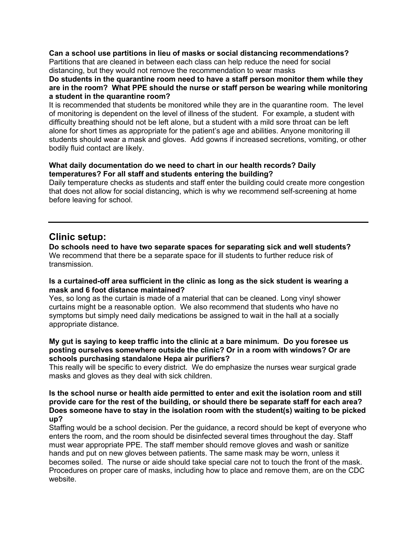### **Can a school use partitions in lieu of masks or social distancing recommendations?**

Partitions that are cleaned in between each class can help reduce the need for social distancing, but they would not remove the recommendation to wear masks

### **Do students in the quarantine room need to have a staff person monitor them while they are in the room? What PPE should the nurse or staff person be wearing while monitoring a student in the quarantine room?**

It is recommended that students be monitored while they are in the quarantine room. The level of monitoring is dependent on the level of illness of the student. For example, a student with difficulty breathing should not be left alone, but a student with a mild sore throat can be left alone for short times as appropriate for the patient's age and abilities. Anyone monitoring ill students should wear a mask and gloves. Add gowns if increased secretions, vomiting, or other bodily fluid contact are likely.

# **What daily documentation do we need to chart in our health records? Daily temperatures? For all staff and students entering the building?**

Daily temperature checks as students and staff enter the building could create more congestion that does not allow for social distancing, which is why we recommend self-screening at home before leaving for school.

# **Clinic setup:**

**Do schools need to have two separate spaces for separating sick and well students?** We recommend that there be a separate space for ill students to further reduce risk of transmission.

# **Is a curtained-off area sufficient in the clinic as long as the sick student is wearing a mask and 6 foot distance maintained?**

Yes, so long as the curtain is made of a material that can be cleaned. Long vinyl shower curtains might be a reasonable option. We also recommend that students who have no symptoms but simply need daily medications be assigned to wait in the hall at a socially appropriate distance.

### **My gut is saying to keep traffic into the clinic at a bare minimum. Do you foresee us posting ourselves somewhere outside the clinic? Or in a room with windows? Or are schools purchasing standalone Hepa air purifiers?**

This really will be specific to every district. We do emphasize the nurses wear surgical grade masks and gloves as they deal with sick children.

# **Is the school nurse or health aide permitted to enter and exit the isolation room and still provide care for the rest of the building, or should there be separate staff for each area? Does someone have to stay in the isolation room with the student(s) waiting to be picked up?**

Staffing would be a school decision. Per the guidance, a record should be kept of everyone who enters the room, and the room should be disinfected several times throughout the day. Staff must wear appropriate PPE. The staff member should remove gloves and wash or sanitize hands and put on new gloves between patients. The same mask may be worn, unless it becomes soiled. The nurse or aide should take special care not to touch the front of the mask. Procedures on proper care of masks, including how to place and remove them, are on the CDC website.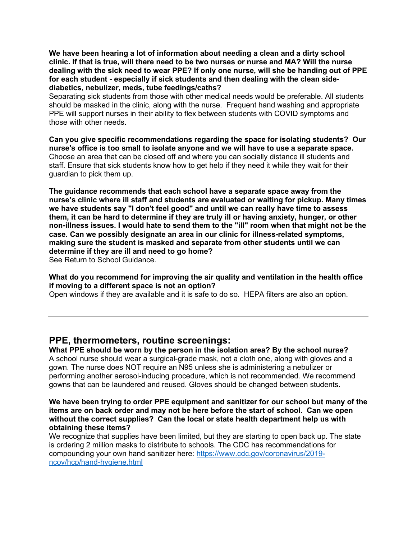**We have been hearing a lot of information about needing a clean and a dirty school clinic. If that is true, will there need to be two nurses or nurse and MA? Will the nurse dealing with the sick need to wear PPE? If only one nurse, will she be handing out of PPE for each student - especially if sick students and then dealing with the clean sidediabetics, nebulizer, meds, tube feedings/caths?**

Separating sick students from those with other medical needs would be preferable. All students should be masked in the clinic, along with the nurse. Frequent hand washing and appropriate PPE will support nurses in their ability to flex between students with COVID symptoms and those with other needs.

**Can you give specific recommendations regarding the space for isolating students? Our nurse's office is too small to isolate anyone and we will have to use a separate space.** Choose an area that can be closed off and where you can socially distance ill students and staff. Ensure that sick students know how to get help if they need it while they wait for their guardian to pick them up.

**The guidance recommends that each school have a separate space away from the nurse's clinic where ill staff and students are evaluated or waiting for pickup. Many times we have students say "I don't feel good" and until we can really have time to assess them, it can be hard to determine if they are truly ill or having anxiety, hunger, or other non-illness issues. I would hate to send them to the "ill" room when that might not be the case. Can we possibly designate an area in our clinic for illness-related symptoms, making sure the student is masked and separate from other students until we can determine if they are ill and need to go home?** See Return to School Guidance.

**What do you recommend for improving the air quality and ventilation in the health office if moving to a different space is not an option?**

Open windows if they are available and it is safe to do so. HEPA filters are also an option.

# **PPE, thermometers, routine screenings:**

**What PPE should be worn by the person in the isolation area? By the school nurse?**  A school nurse should wear a surgical-grade mask, not a cloth one, along with gloves and a gown. The nurse does NOT require an N95 unless she is administering a nebulizer or performing another aerosol-inducing procedure, which is not recommended. We recommend gowns that can be laundered and reused. Gloves should be changed between students.

# **We have been trying to order PPE equipment and sanitizer for our school but many of the items are on back order and may not be here before the start of school. Can we open without the correct supplies? Can the local or state health department help us with obtaining these items?**

We recognize that supplies have been limited, but they are starting to open back up. The state is ordering 2 million masks to distribute to schools. The CDC has recommendations for compounding your own hand sanitizer here: [https://www.cdc.gov/coronavirus/2019](https://www.cdc.gov/coronavirus/2019-ncov/hcp/hand-hygiene.html) [ncov/hcp/hand-hygiene.html](https://www.cdc.gov/coronavirus/2019-ncov/hcp/hand-hygiene.html)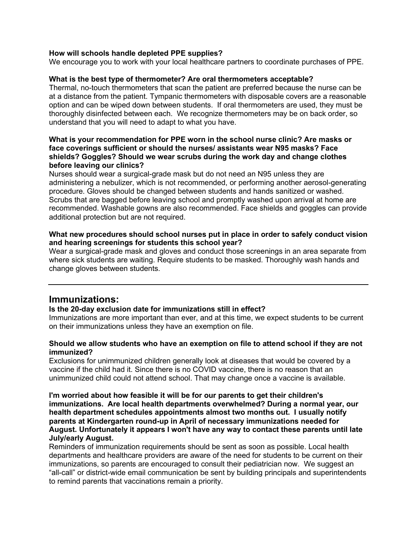# **How will schools handle depleted PPE supplies?**

We encourage you to work with your local healthcare partners to coordinate purchases of PPE.

# **What is the best type of thermometer? Are oral thermometers acceptable?**

Thermal, no-touch thermometers that scan the patient are preferred because the nurse can be at a distance from the patient. Tympanic thermometers with disposable covers are a reasonable option and can be wiped down between students. If oral thermometers are used, they must be thoroughly disinfected between each. We recognize thermometers may be on back order, so understand that you will need to adapt to what you have.

### **What is your recommendation for PPE worn in the school nurse clinic? Are masks or face coverings sufficient or should the nurses/ assistants wear N95 masks? Face shields? Goggles? Should we wear scrubs during the work day and change clothes before leaving our clinics?**

Nurses should wear a surgical-grade mask but do not need an N95 unless they are administering a nebulizer, which is not recommended, or performing another aerosol-generating procedure. Gloves should be changed between students and hands sanitized or washed. Scrubs that are bagged before leaving school and promptly washed upon arrival at home are recommended. Washable gowns are also recommended. Face shields and goggles can provide additional protection but are not required.

# **What new procedures should school nurses put in place in order to safely conduct vision and hearing screenings for students this school year?**

Wear a surgical-grade mask and gloves and conduct those screenings in an area separate from where sick students are waiting. Require students to be masked. Thoroughly wash hands and change gloves between students.

# **Immunizations:**

# **Is the 20-day exclusion date for immunizations still in effect?**

Immunizations are more important than ever, and at this time, we expect students to be current on their immunizations unless they have an exemption on file.

# **Should we allow students who have an exemption on file to attend school if they are not immunized?**

Exclusions for unimmunized children generally look at diseases that would be covered by a vaccine if the child had it. Since there is no COVID vaccine, there is no reason that an unimmunized child could not attend school. That may change once a vaccine is available.

**I'm worried about how feasible it will be for our parents to get their children's immunizations. Are local health departments overwhelmed? During a normal year, our health department schedules appointments almost two months out. I usually notify parents at Kindergarten round-up in April of necessary immunizations needed for August. Unfortunately it appears I won't have any way to contact these parents until late July/early August.** 

Reminders of immunization requirements should be sent as soon as possible. Local health departments and healthcare providers are aware of the need for students to be current on their immunizations, so parents are encouraged to consult their pediatrician now. We suggest an "all-call" or district-wide email communication be sent by building principals and superintendents to remind parents that vaccinations remain a priority.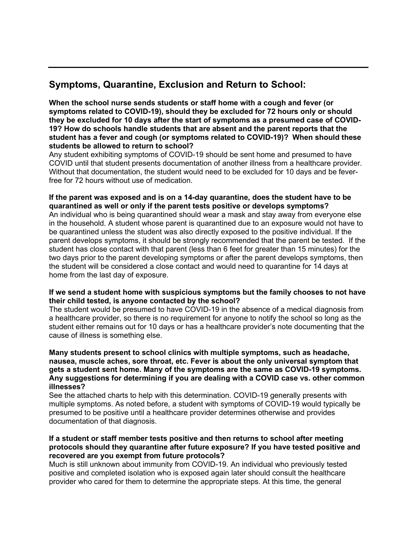# **Symptoms, Quarantine, Exclusion and Return to School:**

**When the school nurse sends students or staff home with a cough and fever (or symptoms related to COVID-19), should they be excluded for 72 hours only or should they be excluded for 10 days after the start of symptoms as a presumed case of COVID-19? How do schools handle students that are absent and the parent reports that the student has a fever and cough (or symptoms related to COVID-19)? When should these students be allowed to return to school?**

Any student exhibiting symptoms of COVID-19 should be sent home and presumed to have COVID until that student presents documentation of another illness from a healthcare provider. Without that documentation, the student would need to be excluded for 10 days and be feverfree for 72 hours without use of medication.

# **If the parent was exposed and is on a 14-day quarantine, does the student have to be quarantined as well or only if the parent tests positive or develops symptoms?**

An individual who is being quarantined should wear a mask and stay away from everyone else in the household. A student whose parent is quarantined due to an exposure would not have to be quarantined unless the student was also directly exposed to the positive individual. If the parent develops symptoms, it should be strongly recommended that the parent be tested. If the student has close contact with that parent (less than 6 feet for greater than 15 minutes) for the two days prior to the parent developing symptoms or after the parent develops symptoms, then the student will be considered a close contact and would need to quarantine for 14 days at home from the last day of exposure.

# **If we send a student home with suspicious symptoms but the family chooses to not have their child tested, is anyone contacted by the school?**

The student would be presumed to have COVID-19 in the absence of a medical diagnosis from a healthcare provider, so there is no requirement for anyone to notify the school so long as the student either remains out for 10 days or has a healthcare provider's note documenting that the cause of illness is something else.

#### **Many students present to school clinics with multiple symptoms, such as headache, nausea, muscle aches, sore throat, etc. Fever is about the only universal symptom that gets a student sent home. Many of the symptoms are the same as COVID-19 symptoms. Any suggestions for determining if you are dealing with a COVID case vs. other common illnesses?**

See the attached charts to help with this determination. COVID-19 generally presents with multiple symptoms. As noted before, a student with symptoms of COVID-19 would typically be presumed to be positive until a healthcare provider determines otherwise and provides documentation of that diagnosis.

# **If a student or staff member tests positive and then returns to school after meeting protocols should they quarantine after future exposure? If you have tested positive and recovered are you exempt from future protocols?**

Much is still unknown about immunity from COVID-19. An individual who previously tested positive and completed isolation who is exposed again later should consult the healthcare provider who cared for them to determine the appropriate steps. At this time, the general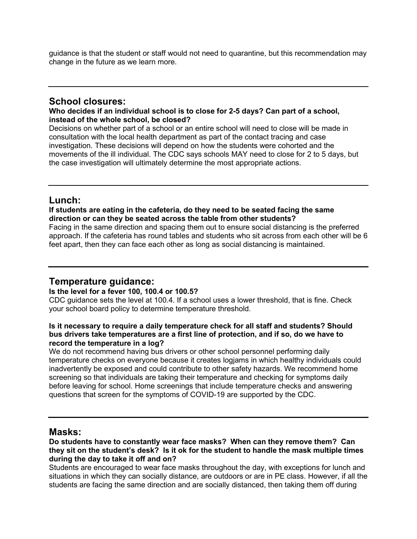guidance is that the student or staff would not need to quarantine, but this recommendation may change in the future as we learn more.

# **School closures:**

# **Who decides if an individual school is to close for 2-5 days? Can part of a school, instead of the whole school, be closed?**

Decisions on whether part of a school or an entire school will need to close will be made in consultation with the local health department as part of the contact tracing and case investigation. These decisions will depend on how the students were cohorted and the movements of the ill individual. The CDC says schools MAY need to close for 2 to 5 days, but the case investigation will ultimately determine the most appropriate actions.

# **Lunch:**

# **If students are eating in the cafeteria, do they need to be seated facing the same direction or can they be seated across the table from other students?**

Facing in the same direction and spacing them out to ensure social distancing is the preferred approach. If the cafeteria has round tables and students who sit across from each other will be 6 feet apart, then they can face each other as long as social distancing is maintained.

# **Temperature guidance:**

# **Is the level for a fever 100, 100.4 or 100.5?**

CDC guidance sets the level at 100.4. If a school uses a lower threshold, that is fine. Check your school board policy to determine temperature threshold.

### **Is it necessary to require a daily temperature check for all staff and students? Should bus drivers take temperatures are a first line of protection, and if so, do we have to record the temperature in a log?**

We do not recommend having bus drivers or other school personnel performing daily temperature checks on everyone because it creates logjams in which healthy individuals could inadvertently be exposed and could contribute to other safety hazards. We recommend home screening so that individuals are taking their temperature and checking for symptoms daily before leaving for school. Home screenings that include temperature checks and answering questions that screen for the symptoms of COVID-19 are supported by the CDC.

# **Masks:**

### **Do students have to constantly wear face masks? When can they remove them? Can they sit on the student's desk? Is it ok for the student to handle the mask multiple times during the day to take it off and on?**

Students are encouraged to wear face masks throughout the day, with exceptions for lunch and situations in which they can socially distance, are outdoors or are in PE class. However, if all the students are facing the same direction and are socially distanced, then taking them off during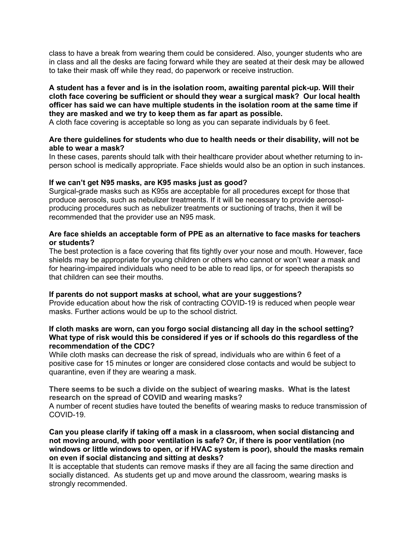class to have a break from wearing them could be considered. Also, younger students who are in class and all the desks are facing forward while they are seated at their desk may be allowed to take their mask off while they read, do paperwork or receive instruction.

# **A student has a fever and is in the isolation room, awaiting parental pick-up. Will their cloth face covering be sufficient or should they wear a surgical mask? Our local health officer has said we can have multiple students in the isolation room at the same time if they are masked and we try to keep them as far apart as possible.**

A cloth face covering is acceptable so long as you can separate individuals by 6 feet.

# **Are there guidelines for students who due to health needs or their disability, will not be able to wear a mask?**

In these cases, parents should talk with their healthcare provider about whether returning to inperson school is medically appropriate. Face shields would also be an option in such instances.

# **If we can't get N95 masks, are K95 masks just as good?**

Surgical-grade masks such as K95s are acceptable for all procedures except for those that produce aerosols, such as nebulizer treatments. If it will be necessary to provide aerosolproducing procedures such as nebulizer treatments or suctioning of trachs, then it will be recommended that the provider use an N95 mask.

# **Are face shields an acceptable form of PPE as an alternative to face masks for teachers or students?**

The best protection is a face covering that fits tightly over your nose and mouth. However, face shields may be appropriate for young children or others who cannot or won't wear a mask and for hearing-impaired individuals who need to be able to read lips, or for speech therapists so that children can see their mouths.

#### **If parents do not support masks at school, what are your suggestions?**

Provide education about how the risk of contracting COVID-19 is reduced when people wear masks. Further actions would be up to the school district.

### **If cloth masks are worn, can you forgo social distancing all day in the school setting? What type of risk would this be considered if yes or if schools do this regardless of the recommendation of the CDC?**

While cloth masks can decrease the risk of spread, individuals who are within 6 feet of a positive case for 15 minutes or longer are considered close contacts and would be subject to quarantine, even if they are wearing a mask.

# **There seems to be such a divide on the subject of wearing masks. What is the latest research on the spread of COVID and wearing masks?**

A number of recent studies have touted the benefits of wearing masks to reduce transmission of COVID-19.

#### **Can you please clarify if taking off a mask in a classroom, when social distancing and not moving around, with poor ventilation is safe? Or, if there is poor ventilation (no windows or little windows to open, or if HVAC system is poor), should the masks remain on even if social distancing and sitting at desks?**

It is acceptable that students can remove masks if they are all facing the same direction and socially distanced. As students get up and move around the classroom, wearing masks is strongly recommended.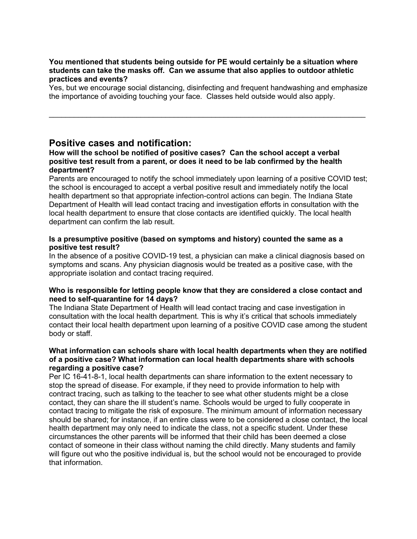# **You mentioned that students being outside for PE would certainly be a situation where students can take the masks off. Can we assume that also applies to outdoor athletic practices and events?**

Yes, but we encourage social distancing, disinfecting and frequent handwashing and emphasize the importance of avoiding touching your face. Classes held outside would also apply.

 $\mathcal{L}_\mathcal{L} = \{ \mathcal{L}_\mathcal{L} = \{ \mathcal{L}_\mathcal{L} = \{ \mathcal{L}_\mathcal{L} = \{ \mathcal{L}_\mathcal{L} = \{ \mathcal{L}_\mathcal{L} = \{ \mathcal{L}_\mathcal{L} = \{ \mathcal{L}_\mathcal{L} = \{ \mathcal{L}_\mathcal{L} = \{ \mathcal{L}_\mathcal{L} = \{ \mathcal{L}_\mathcal{L} = \{ \mathcal{L}_\mathcal{L} = \{ \mathcal{L}_\mathcal{L} = \{ \mathcal{L}_\mathcal{L} = \{ \mathcal{L}_\mathcal{$ 

# **Positive cases and notification:**

# **How will the school be notified of positive cases? Can the school accept a verbal positive test result from a parent, or does it need to be lab confirmed by the health department?**

Parents are encouraged to notify the school immediately upon learning of a positive COVID test; the school is encouraged to accept a verbal positive result and immediately notify the local health department so that appropriate infection-control actions can begin. The Indiana State Department of Health will lead contact tracing and investigation efforts in consultation with the local health department to ensure that close contacts are identified quickly. The local health department can confirm the lab result.

# **Is a presumptive positive (based on symptoms and history) counted the same as a positive test result?**

In the absence of a positive COVID-19 test, a physician can make a clinical diagnosis based on symptoms and scans. Any physician diagnosis would be treated as a positive case, with the appropriate isolation and contact tracing required.

# **Who is responsible for letting people know that they are considered a close contact and need to self-quarantine for 14 days?**

The Indiana State Department of Health will lead contact tracing and case investigation in consultation with the local health department. This is why it's critical that schools immediately contact their local health department upon learning of a positive COVID case among the student body or staff.

# **What information can schools share with local health departments when they are notified of a positive case? What information can local health departments share with schools regarding a positive case?**

Per IC 16-41-8-1, local health departments can share information to the extent necessary to stop the spread of disease. For example, if they need to provide information to help with contract tracing, such as talking to the teacher to see what other students might be a close contact, they can share the ill student's name. Schools would be urged to fully cooperate in contact tracing to mitigate the risk of exposure. The minimum amount of information necessary should be shared; for instance, if an entire class were to be considered a close contact, the local health department may only need to indicate the class, not a specific student. Under these circumstances the other parents will be informed that their child has been deemed a close contact of someone in their class without naming the child directly. Many students and family will figure out who the positive individual is, but the school would not be encouraged to provide that information.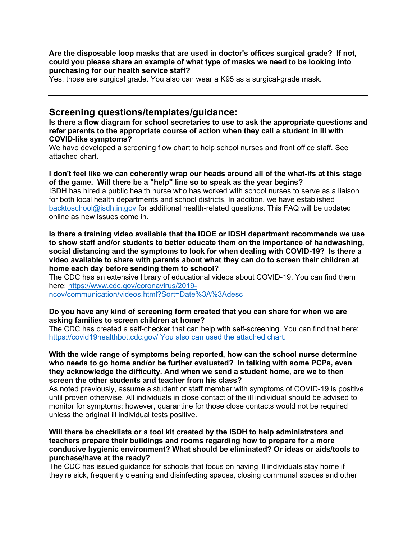# **Are the disposable loop masks that are used in doctor's offices surgical grade? If not, could you please share an example of what type of masks we need to be looking into purchasing for our health service staff?**

Yes, those are surgical grade. You also can wear a K95 as a surgical-grade mask.

# **Screening questions/templates/guidance:**

**Is there a flow diagram for school secretaries to use to ask the appropriate questions and refer parents to the appropriate course of action when they call a student in ill with COVID-like symptoms?** 

We have developed a screening flow chart to help school nurses and front office staff. See attached chart.

### **I don't feel like we can coherently wrap our heads around all of the what-ifs at this stage of the game. Will there be a "help" line so to speak as the year begins?**

ISDH has hired a public health nurse who has worked with school nurses to serve as a liaison for both local health departments and school districts. In addition, we have established [backtoschool@isdh.in.gov](mailto:backtoschool@isdh.in.gov) for additional health-related questions. This FAQ will be updated online as new issues come in.

**Is there a training video available that the IDOE or IDSH department recommends we use to show staff and/or students to better educate them on the importance of handwashing, social distancing and the symptoms to look for when dealing with COVID-19? Is there a video available to share with parents about what they can do to screen their children at home each day before sending them to school?** 

The CDC has an extensive library of educational videos about COVID-19. You can find them here: [https://www.cdc.gov/coronavirus/2019](https://www.cdc.gov/coronavirus/2019-ncov/communication/videos.html?Sort=Date%3A%3Adesc) [ncov/communication/videos.html?Sort=Date%3A%3Adesc](https://www.cdc.gov/coronavirus/2019-ncov/communication/videos.html?Sort=Date%3A%3Adesc)

#### **Do you have any kind of screening form created that you can share for when we are asking families to screen children at home?**

The CDC has created a self-checker that can help with self-screening. You can find that here: <https://covid19healthbot.cdc.gov/> You also can used the attached chart.

#### **With the wide range of symptoms being reported, how can the school nurse determine who needs to go home and/or be further evaluated? In talking with some PCPs, even they acknowledge the difficulty. And when we send a student home, are we to then screen the other students and teacher from his class?**

As noted previously, assume a student or staff member with symptoms of COVID-19 is positive until proven otherwise. All individuals in close contact of the ill individual should be advised to monitor for symptoms; however, quarantine for those close contacts would not be required unless the original ill individual tests positive.

# **Will there be checklists or a tool kit created by the ISDH to help administrators and teachers prepare their buildings and rooms regarding how to prepare for a more conducive hygienic environment? What should be eliminated? Or ideas or aids/tools to purchase/have at the ready?**

The CDC has issued guidance for schools that focus on having ill individuals stay home if they're sick, frequently cleaning and disinfecting spaces, closing communal spaces and other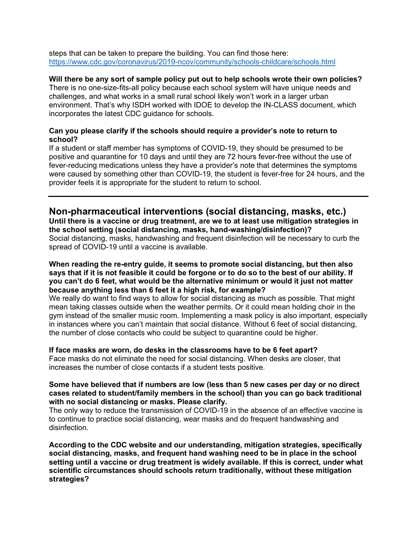steps that can be taken to prepare the building. You can find those here: <https://www.cdc.gov/coronavirus/2019-ncov/community/schools-childcare/schools.html>

### **Will there be any sort of sample policy put out to help schools wrote their own policies?**

There is no one-size-fits-all policy because each school system will have unique needs and challenges, and what works in a small rural school likely won't work in a larger urban environment. That's why ISDH worked with IDOE to develop the IN-CLASS document, which incorporates the latest CDC guidance for schools.

# **Can you please clarify if the schools should require a provider's note to return to school?**

If a student or staff member has symptoms of COVID-19, they should be presumed to be positive and quarantine for 10 days and until they are 72 hours fever-free without the use of fever-reducing medications unless they have a provider's note that determines the symptoms were caused by something other than COVID-19, the student is fever-free for 24 hours, and the provider feels it is appropriate for the student to return to school.

# **Non-pharmaceutical interventions (social distancing, masks, etc.)**

**Until there is a vaccine or drug treatment, are we to at least use mitigation strategies in the school setting (social distancing, masks, hand-washing/disinfection)?**

Social distancing, masks, handwashing and frequent disinfection will be necessary to curb the spread of COVID-19 until a vaccine is available.

### **When reading the re-entry guide, it seems to promote social distancing, but then also says that if it is not feasible it could be forgone or to do so to the best of our ability. If you can't do 6 feet, what would be the alternative minimum or would it just not matter because anything less than 6 feet it a high risk, for example?**

We really do want to find ways to allow for social distancing as much as possible. That might mean taking classes outside when the weather permits. Or it could mean holding choir in the gym instead of the smaller music room. Implementing a mask policy is also important, especially in instances where you can't maintain that social distance. Without 6 feet of social distancing, the number of close contacts who could be subject to quarantine could be higher.

# **If face masks are worn, do desks in the classrooms have to be 6 feet apart?**

Face masks do not eliminate the need for social distancing. When desks are closer, that increases the number of close contacts if a student tests positive.

### **Some have believed that if numbers are low (less than 5 new cases per day or no direct cases related to student/family members in the school) than you can go back traditional with no social distancing or masks. Please clarify.**

The only way to reduce the transmission of COVID-19 in the absence of an effective vaccine is to continue to practice social distancing, wear masks and do frequent handwashing and disinfection.

**According to the CDC website and our understanding, mitigation strategies, specifically social distancing, masks, and frequent hand washing need to be in place in the school setting until a vaccine or drug treatment is widely available. If this is correct, under what scientific circumstances should schools return traditionally, without these mitigation strategies?**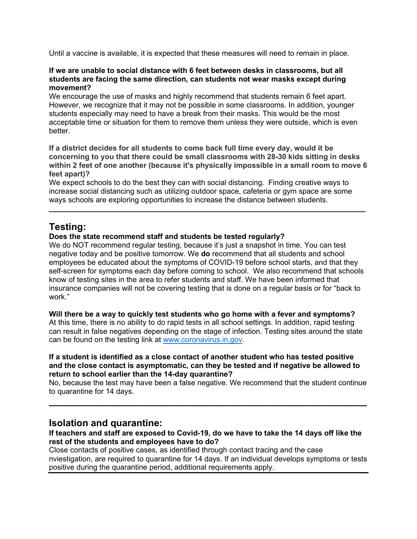Until a vaccine is available, it is expected that these measures will need to remain in place.

# **If we are unable to social distance with 6 feet between desks in classrooms, but all students are facing the same direction, can students not wear masks except during movement?**

We encourage the use of masks and highly recommend that students remain 6 feet apart. However, we recognize that it may not be possible in some classrooms. In addition, younger students especially may need to have a break from their masks. This would be the most acceptable time or situation for them to remove them unless they were outside, which is even better.

**If a district decides for all students to come back full time every day, would it be concerning to you that there could be small classrooms with 28-30 kids sitting in desks within 2 feet of one another (because it's physically impossible in a small room to move 6 feet apart)?** 

We expect schools to do the best they can with social distancing. Finding creative ways to increase social distancing such as utilizing outdoor space, cafeteria or gym space are some ways schools are exploring opportunities to increase the distance between students.

**\_\_\_\_\_\_\_\_\_\_\_\_\_\_\_\_\_\_\_\_\_\_\_\_\_\_\_\_\_\_\_\_\_\_\_\_\_\_\_\_\_\_\_\_\_\_\_\_\_\_\_\_\_\_\_\_\_\_\_\_\_\_\_\_\_\_\_\_\_\_\_\_\_\_\_\_**

# **Testing:**

# **Does the state recommend staff and students be tested regularly?**

We do NOT recommend regular testing, because it's just a snapshot in time. You can test negative today and be positive tomorrow. We **do** recommend that all students and school employees be educated about the symptoms of COVID-19 before school starts, and that they self-screen for symptoms each day before coming to school. We also recommend that schools know of testing sites in the area to refer students and staff. We have been informed that insurance companies will not be covering testing that is done on a regular basis or for "back to work."

**Will there be a way to quickly test students who go home with a fever and symptoms?**

At this time, there is no ability to do rapid tests in all school settings. In addition, rapid testing can result in false negatives depending on the stage of infection. Testing sites around the state can be found on the testing link at [www.coronavirus.in.gov.](http://www.coronavirus.in.gov/)

### **If a student is identified as a close contact of another student who has tested positive and the close contact is asymptomatic, can they be tested and if negative be allowed to return to school earlier than the 14-day quarantine?**

No, because the test may have been a false negative. We recommend that the student continue to quarantine for 14 days.

**\_\_\_\_\_\_\_\_\_\_\_\_\_\_\_\_\_\_\_\_\_\_\_\_\_\_\_\_\_\_\_\_\_\_\_\_\_\_\_\_\_\_\_\_\_\_\_\_\_\_\_\_\_\_\_\_\_\_\_\_**

# **Isolation and quarantine:**

# **If teachers and staff are exposed to Covid-19, do we have to take the 14 days off like the rest of the students and employees have to do?**

Close contacts of positive cases, as identified through contact tracing and the case nviestigation, are required to quarantine for 14 days. If an individual develops symptoms or tests positive during the quarantine period, additional requirements apply.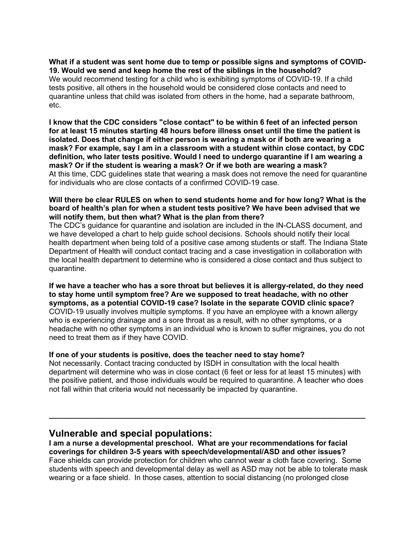# **What if a student was sent home due to temp or possible signs and symptoms of COVID-19. Would we send and keep home the rest of the siblings in the household?**

We would recommend testing for a child who is exhibiting symptoms of COVID-19. If a child tests positive, all others in the household would be considered close contacts and need to quarantine unless that child was isolated from others in the home, had a separate bathroom, etc.

**I know that the CDC considers "close contact" to be within 6 feet of an infected person for at least 15 minutes starting 48 hours before illness onset until the time the patient is isolated. Does that change if either person is wearing a mask or if both are wearing a mask? For example, say I am in a classroom with a student within close contact, by CDC definition, who later tests positive. Would I need to undergo quarantine if I am wearing a mask? Or if the student is wearing a mask? Or if we both are wearing a mask?** At this time, CDC guidelines state that wearing a mask does not remove the need for quarantine for individuals who are close contacts of a confirmed COVID-19 case.

# **Will there be clear RULES on when to send students home and for how long? What is the board of health's plan for when a student tests positive? We have been advised that we will notify them, but then what? What is the plan from there?**

The CDC's guidance for quarantine and isolation are included in the IN-CLASS document, and we have developed a chart to help guide school decisions. Schools should notify their local health department when being told of a positive case among students or staff. The Indiana State Department of Health will conduct contact tracing and a case investigation in collaboration with the local health department to determine who is considered a close contact and thus subject to quarantine.

**If we have a teacher who has a sore throat but believes it is allergy-related, do they need to stay home until symptom free? Are we supposed to treat headache, with no other symptoms, as a potential COVID-19 case? Isolate in the separate COVID clinic space?**  COVID-19 usually involves multiple symptoms. If you have an employee with a known allergy who is experiencing drainage and a sore throat as a result, with no other symptoms, or a headache with no other symptoms in an individual who is known to suffer migraines, you do not need to treat them as if they have COVID.

# **If one of your students is positive, does the teacher need to stay home?**

Not necessarily. Contact tracing conducted by ISDH in consultation with the local health department will determine who was in close contact (6 feet or less for at least 15 minutes) with the positive patient, and those individuals would be required to quarantine. A teacher who does not fall within that criteria would not necessarily be impacted by quarantine.

**\_\_\_\_\_\_\_\_\_\_\_\_\_\_\_\_\_\_\_\_\_\_\_\_\_\_\_\_\_\_\_\_\_\_\_\_\_\_\_\_\_\_\_\_\_\_\_\_\_\_\_\_\_\_\_\_\_\_\_\_\_\_\_\_\_\_\_\_\_\_\_\_\_\_\_\_**

# **Vulnerable and special populations:**

**I am a nurse a developmental preschool. What are your recommendations for facial coverings for children 3-5 years with speech/developmental/ASD and other issues?** Face shields can provide protection for children who cannot wear a cloth face covering. Some students with speech and developmental delay as well as ASD may not be able to tolerate mask wearing or a face shield. In those cases, attention to social distancing (no prolonged close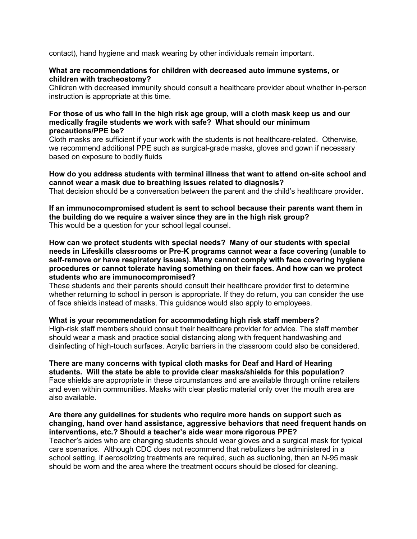contact), hand hygiene and mask wearing by other individuals remain important.

#### **What are recommendations for children with decreased auto immune systems, or children with tracheostomy?**

Children with decreased immunity should consult a healthcare provider about whether in-person instruction is appropriate at this time.

### **For those of us who fall in the high risk age group, will a cloth mask keep us and our medically fragile students we work with safe? What should our minimum precautions/PPE be?**

Cloth masks are sufficient if your work with the students is not healthcare-related. Otherwise, we recommend additional PPE such as surgical-grade masks, gloves and gown if necessary based on exposure to bodily fluids

# **How do you address students with terminal illness that want to attend on-site school and cannot wear a mask due to breathing issues related to diagnosis?**

That decision should be a conversation between the parent and the child's healthcare provider.

# **If an immunocompromised student is sent to school because their parents want them in the building do we require a waiver since they are in the high risk group?**  This would be a question for your school legal counsel.

#### **How can we protect students with special needs? Many of our students with special needs in Lifeskills classrooms or Pre-K programs cannot wear a face covering (unable to self-remove or have respiratory issues). Many cannot comply with face covering hygiene procedures or cannot tolerate having something on their faces. And how can we protect students who are immunocompromised?**

These students and their parents should consult their healthcare provider first to determine whether returning to school in person is appropriate. If they do return, you can consider the use of face shields instead of masks. This guidance would also apply to employees.

# **What is your recommendation for accommodating high risk staff members?**

High-risk staff members should consult their healthcare provider for advice. The staff member should wear a mask and practice social distancing along with frequent handwashing and disinfecting of high-touch surfaces. Acrylic barriers in the classroom could also be considered.

#### **There are many concerns with typical cloth masks for Deaf and Hard of Hearing students. Will the state be able to provide clear masks/shields for this population?** Face shields are appropriate in these circumstances and are available through online retailers and even within communities. Masks with clear plastic material only over the mouth area are also available.

### **Are there any guidelines for students who require more hands on support such as changing, hand over hand assistance, aggressive behaviors that need frequent hands on interventions, etc.? Should a teacher's aide wear more rigorous PPE?**

Teacher's aides who are changing students should wear gloves and a surgical mask for typical care scenarios. Although CDC does not recommend that nebulizers be administered in a school setting, if aerosolizing treatments are required, such as suctioning, then an N-95 mask should be worn and the area where the treatment occurs should be closed for cleaning.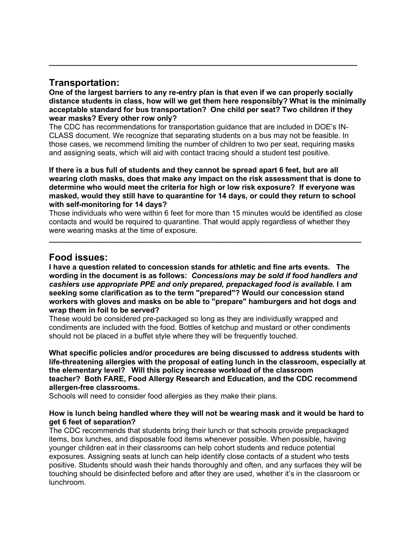# **Transportation:**

**One of the largest barriers to any re-entry plan is that even if we can properly socially distance students in class, how will we get them here responsibly? What is the minimally acceptable standard for bus transportation? One child per seat? Two children if they wear masks? Every other row only?** 

**\_\_\_\_\_\_\_\_\_\_\_\_\_\_\_\_\_\_\_\_\_\_\_\_\_\_\_\_\_\_\_\_\_\_\_\_\_\_\_\_\_\_\_\_\_\_\_\_\_\_\_\_\_\_\_\_\_\_\_\_\_\_\_\_\_\_\_\_\_\_\_\_\_\_**

The CDC has recommendations for transportation guidance that are included in DOE's IN-CLASS document. We recognize that separating students on a bus may not be feasible. In those cases, we recommend limiting the number of children to two per seat, requiring masks and assigning seats, which will aid with contact tracing should a student test positive.

**If there is a bus full of students and they cannot be spread apart 6 feet, but are all wearing cloth masks, does that make any impact on the risk assessment that is done to determine who would meet the criteria for high or low risk exposure? If everyone was masked, would they still have to quarantine for 14 days, or could they return to school with self-monitoring for 14 days?**

Those individuals who were within 6 feet for more than 15 minutes would be identified as close contacts and would be required to quarantine. That would apply regardless of whether they were wearing masks at the time of exposure.

**\_\_\_\_\_\_\_\_\_\_\_\_\_\_\_\_\_\_\_\_\_\_\_\_\_\_\_\_\_\_\_\_\_\_\_\_\_\_\_\_\_\_\_\_\_\_\_\_\_\_\_\_\_\_\_\_\_\_\_\_\_\_\_\_\_\_\_\_\_\_\_\_\_\_\_**

# **Food issues:**

**I have a question related to concession stands for athletic and fine arts events. The wording in the document is as follows:** *Concessions may be sold if food handlers and cashiers use appropriate PPE and only prepared, prepackaged food is available.* **I am seeking some clarification as to the term "prepared"? Would our concession stand workers with gloves and masks on be able to "prepare" hamburgers and hot dogs and wrap them in foil to be served?**

These would be considered pre-packaged so long as they are individually wrapped and condiments are included with the food. Bottles of ketchup and mustard or other condiments should not be placed in a buffet style where they will be frequently touched.

**What specific policies and/or procedures are being discussed to address students with life-threatening allergies with the proposal of eating lunch in the classroom, especially at the elementary level? Will this policy increase workload of the classroom teacher? Both FARE, Food Allergy Research and Education, and the CDC recommend allergen-free classrooms.**

Schools will need to consider food allergies as they make their plans.

# **How is lunch being handled where they will not be wearing mask and it would be hard to get 6 feet of separation?**

The CDC recommends that students bring their lunch or that schools provide prepackaged items, box lunches, and disposable food items whenever possible. When possible, having younger children eat in their classrooms can help cohort students and reduce potential exposures. Assigning seats at lunch can help identify close contacts of a student who tests positive. Students should wash their hands thoroughly and often, and any surfaces they will be touching should be disinfected before and after they are used, whether it's in the classroom or lunchroom.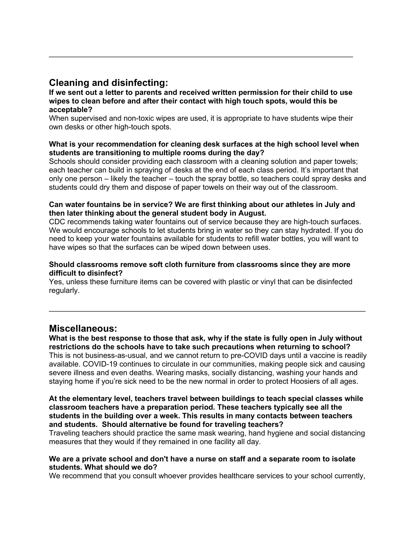# **Cleaning and disinfecting:**

# **If we sent out a letter to parents and received written permission for their child to use wipes to clean before and after their contact with high touch spots, would this be acceptable?**

 $\_$  , and the set of the set of the set of the set of the set of the set of the set of the set of the set of the set of the set of the set of the set of the set of the set of the set of the set of the set of the set of th

When supervised and non-toxic wipes are used, it is appropriate to have students wipe their own desks or other high-touch spots.

# **What is your recommendation for cleaning desk surfaces at the high school level when students are transitioning to multiple rooms during the day?**

Schools should consider providing each classroom with a cleaning solution and paper towels; each teacher can build in spraying of desks at the end of each class period. It's important that only one person – likely the teacher – touch the spray bottle, so teachers could spray desks and students could dry them and dispose of paper towels on their way out of the classroom.

# **Can water fountains be in service? We are first thinking about our athletes in July and then later thinking about the general student body in August.**

CDC recommends taking water fountains out of service because they are high-touch surfaces. We would encourage schools to let students bring in water so they can stay hydrated. If you do need to keep your water fountains available for students to refill water bottles, you will want to have wipes so that the surfaces can be wiped down between uses.

# **Should classrooms remove soft cloth furniture from classrooms since they are more difficult to disinfect?**

Yes, unless these furniture items can be covered with plastic or vinyl that can be disinfected regularly.

 $\mathcal{L}_\text{max}$  , and the set of the set of the set of the set of the set of the set of the set of the set of the set of the set of the set of the set of the set of the set of the set of the set of the set of the set of the

# **Miscellaneous:**

**What is the best response to those that ask, why if the state is fully open in July without restrictions do the schools have to take such precautions when returning to school?** This is not business-as-usual, and we cannot return to pre-COVID days until a vaccine is readily available. COVID-19 continues to circulate in our communities, making people sick and causing severe illness and even deaths. Wearing masks, socially distancing, washing your hands and staying home if you're sick need to be the new normal in order to protect Hoosiers of all ages.

### **At the elementary level, teachers travel between buildings to teach special classes while classroom teachers have a preparation period. These teachers typically see all the students in the building over a week. This results in many contacts between teachers and students. Should alternative be found for traveling teachers?**

Traveling teachers should practice the same mask wearing, hand hygiene and social distancing measures that they would if they remained in one facility all day.

# **We are a private school and don't have a nurse on staff and a separate room to isolate students. What should we do?**

We recommend that you consult whoever provides healthcare services to your school currently,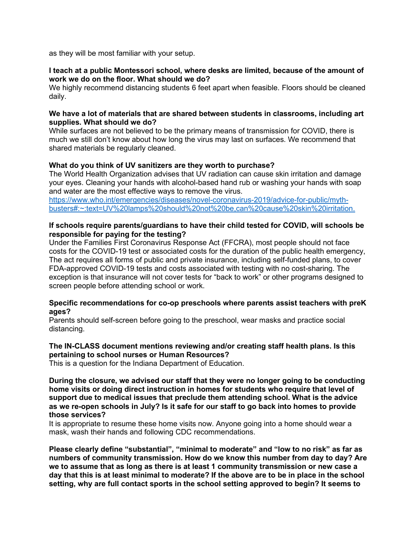as they will be most familiar with your setup.

#### **I teach at a public Montessori school, where desks are limited, because of the amount of work we do on the floor. What should we do?**

We highly recommend distancing students 6 feet apart when feasible. Floors should be cleaned daily.

# **We have a lot of materials that are shared between students in classrooms, including art supplies. What should we do?**

While surfaces are not believed to be the primary means of transmission for COVID, there is much we still don't know about how long the virus may last on surfaces. We recommend that shared materials be regularly cleaned.

# **What do you think of UV sanitizers are they worth to purchase?**

The World Health Organization advises that UV radiation can cause skin irritation and damage your eyes. Cleaning your hands with alcohol-based hand rub or washing your hands with soap and water are the most effective ways to remove the virus. [https://www.who.int/emergencies/diseases/novel-coronavirus-2019/advice-for-public/myth-](https://www.who.int/emergencies/diseases/novel-coronavirus-2019/advice-for-public/myth-busters#:%7E:text=UV%20lamps%20should%20not%20be,can%20cause%20skin%20irritation.)

[busters#:~:text=UV%20lamps%20should%20not%20be,can%20cause%20skin%20irritation.](https://www.who.int/emergencies/diseases/novel-coronavirus-2019/advice-for-public/myth-busters#:%7E:text=UV%20lamps%20should%20not%20be,can%20cause%20skin%20irritation.)

# **If schools require parents/guardians to have their child tested for COVID, will schools be responsible for paying for the testing?**

Under the Families First Coronavirus Response Act (FFCRA), most people should not face costs for the COVID-19 test or associated costs for the duration of the public health emergency, The act requires all forms of public and private insurance, including self-funded plans, to cover FDA-approved COVID-19 tests and costs associated with testing with no cost-sharing. The exception is that insurance will not cover tests for "back to work" or other programs designed to screen people before attending school or work.

# **Specific recommendations for co-op preschools where parents assist teachers with preK ages?**

Parents should self-screen before going to the preschool, wear masks and practice social distancing.

# **The IN-CLASS document mentions reviewing and/or creating staff health plans. Is this pertaining to school nurses or Human Resources?**

This is a question for the Indiana Department of Education.

**During the closure, we advised our staff that they were no longer going to be conducting home visits or doing direct instruction in homes for students who require that level of support due to medical issues that preclude them attending school. What is the advice as we re-open schools in July? Is it safe for our staff to go back into homes to provide those services?**

It is appropriate to resume these home visits now. Anyone going into a home should wear a mask, wash their hands and following CDC recommendations.

**Please clearly define "substantial", "minimal to moderate" and "low to no risk" as far as numbers of community transmission. How do we know this number from day to day? Are we to assume that as long as there is at least 1 community transmission or new case a day that this is at least minimal to moderate? If the above are to be in place in the school setting, why are full contact sports in the school setting approved to begin? It seems to**